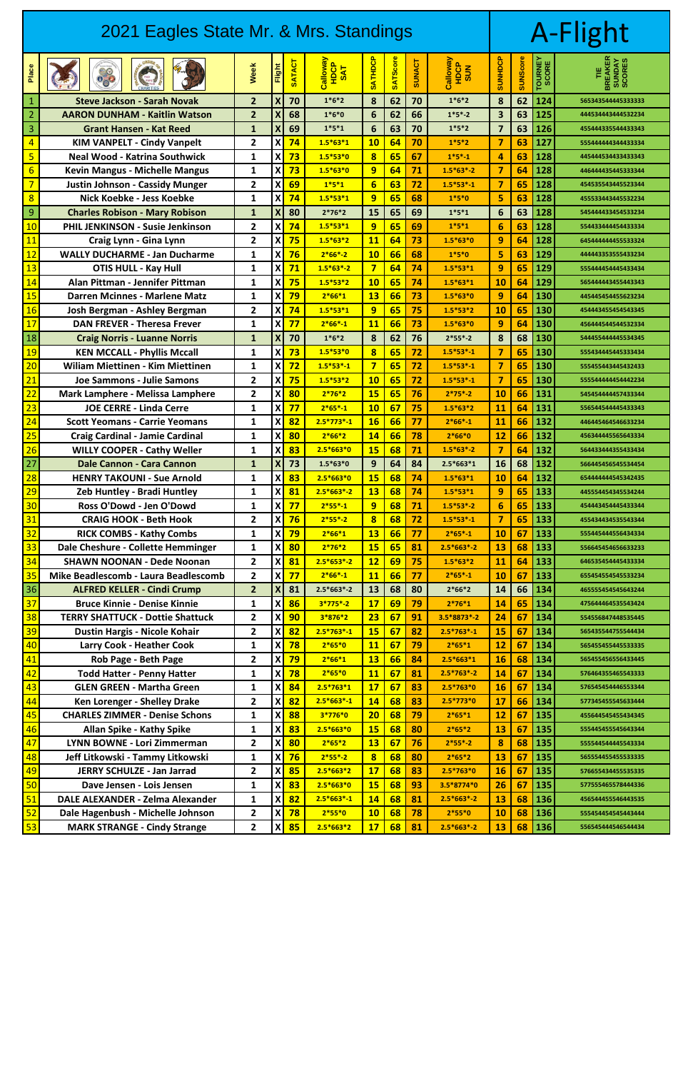| 2021 Eagles State Mr. & Mrs. Standings |                                         |                         |                           |               |                                     |                            |                 |               |                        |                         | A-Flight        |                  |                                          |  |
|----------------------------------------|-----------------------------------------|-------------------------|---------------------------|---------------|-------------------------------------|----------------------------|-----------------|---------------|------------------------|-------------------------|-----------------|------------------|------------------------------------------|--|
| Place                                  | $\frac{1}{2}$<br>Pouk<br>Hispuy         | <b>Week</b>             | Flight                    | <b>SATACT</b> | <b>CONSIDER</b><br>HDCP<br>SAT<br>ပ | <b>ATHDCP</b><br><b>SO</b> | <b>SATScore</b> | <b>SUNACT</b> | Calloway<br>SOR<br>SOR | <b>SUNHIOS</b>          | <b>SUNScore</b> | TOURNEY<br>SCORE | <b>BREAKER<br/>SUNDAY</b><br>SCORES<br>₩ |  |
| $\mathbf{1}$                           | <b>Steve Jackson - Sarah Novak</b>      | $\overline{2}$          | $\boldsymbol{X}$          | 70            | $1*6*2$                             | 8                          | 62              | 70            | $1*6*2$                | 8                       | 62              | 124              | 565343544445333333                       |  |
| $\overline{2}$                         | <b>AARON DUNHAM - Kaitlin Watson</b>    | $\overline{2}$          | $\boldsymbol{\mathsf{X}}$ | 68            | $1*6*0$                             | $6\phantom{1}6$            | 62              | 66            | $1*5*-2$               | 3                       | 63              | 125              | 444534443444532234                       |  |
| 3                                      | <b>Grant Hansen - Kat Reed</b>          | $\mathbf{1}$            | $\boldsymbol{X}$          | 69            | $1*5*1$                             | $6\phantom{1}6$            | 63              | 70            | $1*5*2$                | $\overline{\mathbf{z}}$ | 63              | 126              | 455444335544433343                       |  |
| $\overline{4}$                         | <b>KIM VANPELT - Cindy Vanpelt</b>      | $\overline{2}$          | $\boldsymbol{\mathsf{X}}$ | 74            | $1.5*63*1$                          | 10                         | 64              | 70            | $1*5*2$                | $\overline{7}$          | 63              | 127              | 555444444344433334                       |  |
| 5                                      | <b>Neal Wood - Katrina Southwick</b>    | 1                       | X                         | 73            | $1.5*53*0$                          | $\overline{\mathbf{8}}$    | 65              | 67            | $1*5*-1$               | 4                       | 63              | 128              | 445444534433433343                       |  |
| $6 \overline{}$                        | <b>Kevin Mangus - Michelle Mangus</b>   | $\mathbf{1}$            | X                         | 73            | $1.5*63*0$                          | 9                          | 64              | 71            | $1.5*63*-2$            | $\overline{\mathbf{z}}$ | 64              | 128              | 446444435445333344                       |  |
| $\overline{7}$                         | <b>Justin Johnson - Cassidy Munger</b>  | $\overline{\mathbf{2}}$ | $\boldsymbol{\mathsf{X}}$ | 69            | $1*5*1$                             | $6\overline{6}$            | 63              | 72            | $1.5*53*-1$            | $\overline{7}$          | 65              | 128              | 454535543445523344                       |  |
| $\overline{8}$                         | Nick Koebke - Jess Koebke               | 1                       | X                         | 74            | $1.5*53*1$                          | 9                          | 65              | 68            | $1*5*0$                | 5                       | 63              | 128              | 455533443445532234                       |  |
| 9                                      | <b>Charles Robison - Mary Robison</b>   | $\mathbf{1}$            | $\boldsymbol{X}$          | 80            | $2*76*2$                            | 15                         | 65              | 69            | $1*5*1$                | 6                       | 63              | 128              | 545444433454533234                       |  |
| 10                                     | <b>PHIL JENKINSON - Susie Jenkinson</b> | $\mathbf{2}$            | $\boldsymbol{\mathsf{X}}$ | 74            | $1.5*53*1$                          | 9                          | 65              | 69            | $1*5*1$                | $6\phantom{1}6$         | 63              | 128              | 554433444454433334                       |  |
| 11                                     | Craig Lynn - Gina Lynn                  | $\mathbf{2}$            | X                         | 75            | $1.5*63*2$                          | <b>11</b>                  | 64              | 73            | $1.5*63*0$             | 9                       | 64              | 128              | 645444444455533324                       |  |
| 12                                     | <b>WALLY DUCHARME - Jan Ducharme</b>    | 1                       | X                         | 76            | $2*66*-2$                           | 10                         | 66              | 68            | $1*5*0$                | 5                       | 63              | 129              | 444443353555433234                       |  |
| 13                                     | <b>OTIS HULL - Kay Hull</b>             | 1                       | $\boldsymbol{\mathsf{X}}$ | 71            | $1.5*63*-2$                         | $\overline{7}$             | 64              | 74            | $1.5*53*1$             | 9                       | 65              | 129              | 555444454445433434                       |  |
| 14                                     | Alan Pittman - Jennifer Pittman         | 1                       | X                         | 75            | $1.5*53*2$                          | 10                         | 65              | 74            | $1.5*63*1$             | 10                      | 64              | 129              | 565444443455443343                       |  |
| 15                                     | <b>Darren Mcinnes - Marlene Matz</b>    | 1                       | X                         | 79            | $2*66*1$                            | <b>13</b>                  | 66              | 73            | $1.5*63*0$             | 9                       | 64              | 130              | 44544544455623234                        |  |
| 16                                     | Josh Bergman - Ashley Bergman           | $\mathbf{2}$            | X                         | 74            | $1.5*53*1$                          | 9                          | 65              | 75            | $1.5*53*2$             | 10                      | 65              | 130              | 454443455454543345                       |  |
| 17                                     | <b>DAN FREVER - Theresa Frever</b>      | 1                       | X                         | 77            | $2*66*-1$                           | <b>11</b>                  | 66              | 73            | $1.5*63*0$             | 9                       | 64              | 130              | 456444544544532334                       |  |
| 18                                     | <b>Craig Norris - Luanne Norris</b>     | $\mathbf{1}$            | $\boldsymbol{X}$          | 70            | $1*6*2$                             | 8                          | 62              | 76            | $2*55*-2$              | 8                       | 68              | 130              | 544455444445534345                       |  |
| 19                                     | <b>KEN MCCALL - Phyllis Mccall</b>      | 1                       | X                         | 73            | $1.5*53*0$                          | $\overline{\mathbf{8}}$    | 65              | 72            | $1.5*53*-1$            | $\overline{7}$          | 65              | 130              | 555434445445333434                       |  |
| 20                                     | <b>Wiliam Miettinen - Kim Miettinen</b> | 1                       | X                         | 72            | $1.5*53*-1$                         | $\overline{\mathbf{z}}$    | 65              | 72            | $1.5*53*-1$            | $\overline{7}$          | 65              | 130              | 555455443445432433                       |  |
| 21                                     | Joe Sammons - Julie Samons              | $\mathbf{2}$            | $\boldsymbol{\mathsf{X}}$ | 75            | $1.5*53*2$                          | 10                         | 65              | 72            | $1.5*53*-1$            | $\overline{7}$          | 65              | 130              | 555544444454442234                       |  |
| 22                                     | <b>Mark Lamphere - Melissa Lamphere</b> | $\mathbf{2}$            | X                         | 80            | $2*76*2$                            | 15                         | 65              | 76            | $2*75*-2$              | 10                      | 66              | 131              | 545454444457433344                       |  |
| 23                                     | <b>JOE CERRE - Linda Cerre</b>          | 1                       | $\boldsymbol{\mathsf{X}}$ | 77            | $2*65*-1$                           | <b>10</b>                  | 67              | 75            | $1.5*63*2$             | 11                      | 64              | 131              | 556544544445433343                       |  |
| 24                                     | <b>Scott Yeomans - Carrie Yeomans</b>   | 1                       | $\boldsymbol{\mathsf{X}}$ | 82            | $2.5*773*-1$                        | <b>16</b>                  | 66              | 77            | $2*66*-1$              | 11                      | 66              | 132              | 446445464546633234                       |  |
| 25                                     | <b>Craig Cardinal - Jamie Cardinal</b>  | $\mathbf{1}$            | $\boldsymbol{\mathsf{X}}$ | 80            | $2*66*2$                            | 14                         | 66              | 78            | $2*66*0$               | 12                      | 66              | 132              | 456344445565643334                       |  |
| 26                                     | <b>WILLY COOPER - Cathy Weller</b>      | $\mathbf{1}$            | $\boldsymbol{\mathsf{X}}$ | 83            | $2.5*663*0$                         | <b>15</b>                  | 68              | 71            | $1.5*63*-2$            | 7                       | 64              | 132              | 564433444355433434                       |  |
| 27                                     | <b>Dale Cannon - Cara Cannon</b>        | $\mathbf{1}$            | $\boldsymbol{\mathsf{X}}$ | 73            | $1.5*63*0$                          | 9                          | 64              | 84            | $2.5*663*1$            | 16                      | 68              | 132              | 566445456545534454                       |  |
| 28                                     | <b>HENRY TAKOUNI - Sue Arnold</b>       | $\mathbf{1}$            | $\boldsymbol{\mathsf{X}}$ | 83            | $2.5*663*0$                         | <b>15</b>                  | 68              | 74            | $1.5*63*1$             | 10                      | 64              | 132              | 654444444545342435                       |  |
| 29                                     | <b>Zeb Huntley - Bradi Huntley</b>      | $\mathbf{1}$            | $\pmb{\mathsf{X}}$        | 81            | $2.5*663*-2$                        | 13                         | 68              | 74            | $1.5*53*1$             | 9                       | 65              | 133              | 445554454345534244                       |  |
| 30                                     | Ross O'Dowd - Jen O'Dowd                | 1                       | $\boldsymbol{\mathsf{X}}$ | 77            | $2*55*-1$                           | 9                          | 68              | 71            | $1.5*53*-2$            | $6\phantom{1}6$         | 65              | 133              | 454443454445433344                       |  |
| 31                                     | <b>CRAIG HOOK - Beth Hook</b>           | $\overline{2}$          | $\boldsymbol{\mathsf{X}}$ | 76            | $2*55*-2$                           | $\overline{\mathbf{8}}$    | 68              | 72            | $1.5*53*-1$            | $\overline{\mathbf{z}}$ | 65              | 133              | 455434434535543344                       |  |
| 32                                     | <b>RICK COMBS - Kathy Combs</b>         | $\mathbf{1}$            | X                         | 79            | $2*66*1$                            | <b>13</b>                  | 66              | 77            | $2*65*-1$              | 10                      | 67              | 133              | 555445444556434334                       |  |
| 33                                     | Dale Cheshure - Collette Hemminger      | 1                       | $\boldsymbol{\mathsf{X}}$ | 80            | $2*76*2$                            | <b>15</b>                  | 65              | 81            | $2.5*663*-2$           | 13                      | 68              | 133              | 556645454656633233                       |  |
| 34                                     | <b>SHAWN NOONAN - Dede Noonan</b>       | $\overline{2}$          | $\boldsymbol{\mathsf{X}}$ | 81            | $2.5*653*-2$                        | 12                         | 69              | 75            | $1.5*63*2$             | 11                      | 64              | 133              | 646535454445433334                       |  |
| 35                                     | Mike Beadlescomb - Laura Beadlescomb    | $\overline{2}$          | $\boldsymbol{\mathsf{X}}$ | 77            | $2*66*-1$                           | <b>11</b>                  | 66              | 77            | $2*65*-1$              | 10                      | 67              | 133              | 655454554545533234                       |  |
| 36                                     | <b>ALFRED KELLER - Cindi Crump</b>      | $\overline{2}$          | $\boldsymbol{X}$          | 81            | $2.5*663*-2$                        | 13                         | 68              | 80            | $2*66*2$               | 14                      | 66              | 134              | 465555454545643244                       |  |
| 37                                     | <b>Bruce Kinnie - Denise Kinnie</b>     | 1                       | $\boldsymbol{\mathsf{X}}$ | 86            | $3*775*-2$                          | 17                         | 69              | 79            | $2*76*1$               | 14                      | 65              | 134              | 475644464535543424                       |  |
| 38                                     | <b>TERRY SHATTUCK - Dottie Shattuck</b> | $\overline{\mathbf{2}}$ | X                         | 90            | 3*876*2                             | 23                         | 67              | 91            | 3.5*8873*-2            | 24                      | 67              | 134              | 554556847448535445                       |  |
| 39                                     | Dustin Hargis - Nicole Kohair           | $\overline{2}$          | $\boldsymbol{\mathsf{X}}$ | 82            | $2.5*763*-1$                        | <b>15</b>                  | 67              | 82            | $2.5*763*-1$           | 15                      | 67              | 134              | 565435544755544434                       |  |
| 40                                     | <b>Larry Cook - Heather Cook</b>        | 1                       | $\boldsymbol{\mathsf{X}}$ | 78            | $2*65*0$                            | <b>11</b>                  | 67              | 79            | $2*65*1$               | 12                      | 67              | 134              | 565455455445533335                       |  |
| 41                                     | Rob Page - Beth Page                    | $\overline{\mathbf{2}}$ | $\boldsymbol{\mathsf{X}}$ | 79            | $2*66*1$                            | 13                         | 66              | 84            | $2.5*663*1$            | 16                      | 68              | 134              | 565455456556433445                       |  |
| 42                                     | <b>Todd Hatter - Penny Hatter</b>       | 1                       | $\boldsymbol{\mathsf{X}}$ | 78            | $2*65*0$                            | <b>11</b>                  | 67              | 81            | $2.5*763*-2$           | 14                      | 67              | 134              | 576464355465543333                       |  |
| 43                                     | <b>GLEN GREEN - Martha Green</b>        | 1                       | X                         | 84            | $2.5*763*1$                         | 17                         | 67              | 83            | $2.5*763*0$            | 16                      | 67              | 134              | 576545454446553344                       |  |
| 44                                     | <b>Ken Lorenger - Shelley Drake</b>     | $\mathbf{2}$            | $\boldsymbol{\mathsf{X}}$ | 82            | $2.5*663*-1$                        | 14                         | 68              | 83            | $2.5*773*0$            | 17                      | 66              | 134              | 577345455545633444                       |  |
| 45                                     | <b>CHARLES ZIMMER - Denise Schons</b>   | 1                       | $\boldsymbol{\mathsf{X}}$ | 88            | 3*776*0                             | 20                         | 68              | 79            | $2*65*1$               | 12                      | 67              | 135              | 455644545455434345                       |  |
| 46                                     | <b>Allan Spike - Kathy Spike</b>        | 1                       | $\boldsymbol{\mathsf{X}}$ | 83            | $2.5*663*0$                         | <b>15</b>                  | 68              | 80            | $2*65*2$               | 13                      | 67              | 135              | 555445455545643344                       |  |
| 47                                     | <b>LYNN BOWNE - Lori Zimmerman</b>      | $\overline{2}$          | $\boldsymbol{\mathsf{X}}$ | 80            | $2*65*2$                            | 13                         | 67              | 76            | $2*55*-2$              | 8                       | 68              | 135              | 555544544445543334                       |  |
| 48                                     | Jeff Litkowski - Tammy Litkowski        | $\mathbf{1}$            | $\boldsymbol{\mathsf{X}}$ | 76            | $2*55*-2$                           | $\overline{\mathbf{8}}$    | 68              | 80            | $2*65*2$               | 13                      | 67              | 135              | 565554455455533335                       |  |
| 49                                     | JERRY SCHULZE - Jan Jarrad              | 2                       | X                         | 85            | $2.5*663*2$                         | 17                         | 68              | 83            | $2.5*763*0$            | <b>16</b>               | 67              | 135              | 576655434455535335                       |  |
|                                        | Davis Jamesin, Late Jam                 |                         |                           |               |                                     | 4F                         | $\overline{c}$  | <b>nn</b>     |                        | $\overline{2}$          |                 |                  |                                          |  |

| 50 | Dave Jensen - Lois Jensen           |   | <b>X 83</b> | $2.5*663*0$  |           | $15 \mid 68 \mid 93$ |     | $3.5*8774*0$ | 26 | 67 | 135        | 577555465578444336 |
|----|-------------------------------------|---|-------------|--------------|-----------|----------------------|-----|--------------|----|----|------------|--------------------|
| 51 | DALE ALEXANDER - Zelma Alexander    |   | 82          | $2.5*663*-1$ | 14        | <u>  68  </u>        | -81 | $2.5*663*-2$ |    |    | 68   136   | 456544455546443535 |
| 52 | Dale Hagenbush - Michelle Johnson   | X | 78          | $2*55*0$     | <b>10</b> |                      |     | $2*55*0$     |    |    | $68$   136 | 555454454545443444 |
| 53 | <b>MARK STRANGE - Cindy Strange</b> |   | 85          | $2.5*663*2$  |           | 68                   |     | $2.5*663*-2$ |    |    | 68   136   | 556545444546544434 |